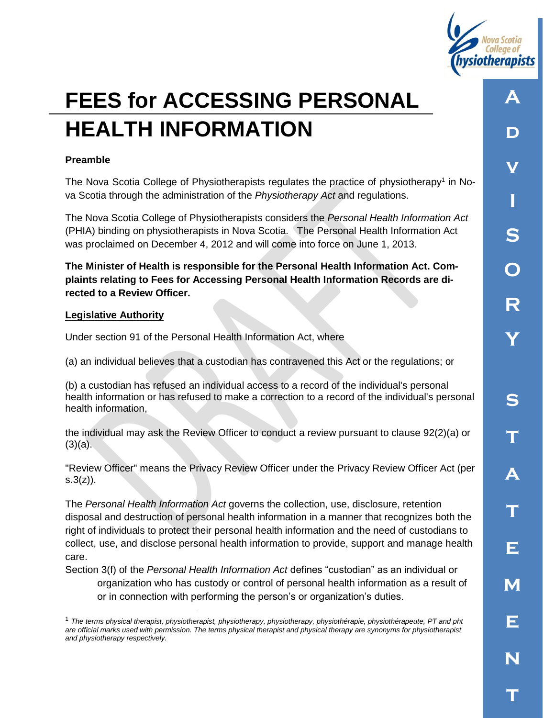

# **FEES for ACCESSING PERSONAL HEALTH INFORMATION**

#### **Preamble**

The Nova Scotia College of Physiotherapists regulates the practice of physiotherapy<sup>1</sup> in Nova Scotia through the administration of the *Physiotherapy Act* and regulations.

The Nova Scotia College of Physiotherapists considers the *Personal Health Information Act* (PHIA) binding on physiotherapists in Nova Scotia. The Personal Health Information Act was proclaimed on December 4, 2012 and will come into force on June 1, 2013.

**The Minister of Health is responsible for the Personal Health Information Act. Complaints relating to Fees for Accessing Personal Health Information Records are directed to a Review Officer.**

#### **Legislative Authority**

 $\overline{a}$ 

Under section 91 of the Personal Health Information Act, where

(a) an individual believes that a custodian has contravened this Act or the regulations; or

(b) a custodian has refused an individual access to a record of the individual's personal health information or has refused to make a correction to a record of the individual's personal health information,

the individual may ask the Review Officer to conduct a review pursuant to clause 92(2)(a) or  $(3)(a)$ .

"Review Officer" means the Privacy Review Officer under the Privacy Review Officer Act (per  $s.3(z)$ ).

The *Personal Health Information Act* governs the collection, use, disclosure, retention disposal and destruction of personal health information in a manner that recognizes both the right of individuals to protect their personal health information and the need of custodians to collect, use, and disclose personal health information to provide, support and manage health care.

Section 3(f) of the *Personal Health Information Act* defines "custodian" as an individual or organization who has custody or control of personal health information as a result of or in connection with performing the person's or organization's duties.

<sup>1</sup> *The terms physical therapist, physiotherapist, physiotherapy, physiotherapy, physiothérapie, physiothérapeute, PT and pht are official marks used with permission. The terms physical therapist and physical therapy are synonyms for physiotherapist and physiotherapy respectively.*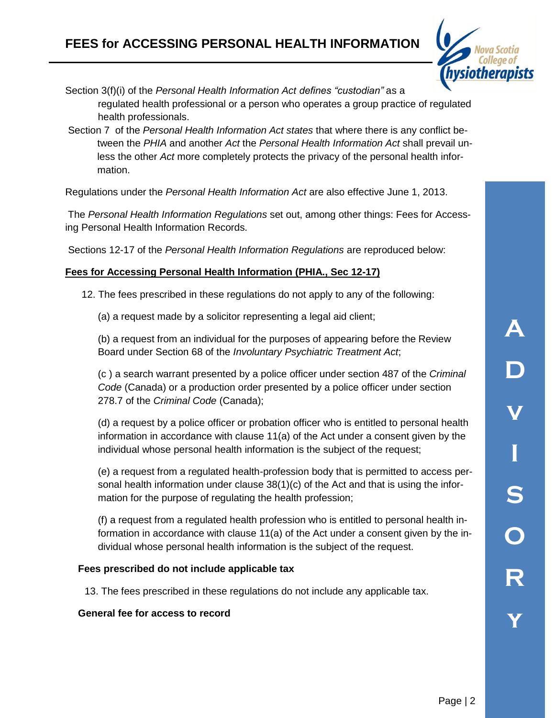# **FEES for ACCESSING PERSONAL HEALTH INFORMATION**



Section 3(f)(i) of the *Personal Health Information Act defines "custodian"* as a regulated health professional or a person who operates a group practice of regulated health professionals.

Section 7 of the *Personal Health Information Act states* that where there is any conflict between the *PHIA* and another *Act* the *Personal Health Information Act* shall prevail unless the other *Act* more completely protects the privacy of the personal health information.

Regulations under the *Personal Health Information Act* are also effective June 1, 2013.

The *Personal Health Information Regulations* set out, among other things: Fees for Accessing Personal Health Information Records.

Sections 12-17 of the *Personal Health Information Regulations* are reproduced below:

# **Fees for Accessing Personal Health Information (PHIA., Sec 12-17)**

12. The fees prescribed in these regulations do not apply to any of the following:

(a) a request made by a solicitor representing a legal aid client;

(b) a request from an individual for the purposes of appearing before the Review Board under Section 68 of the *Involuntary Psychiatric Treatment Act*;

(c ) a search warrant presented by a police officer under section 487 of the *Criminal Code* (Canada) or a production order presented by a police officer under section 278.7 of the *Criminal Code* (Canada);

(d) a request by a police officer or probation officer who is entitled to personal health information in accordance with clause 11(a) of the Act under a consent given by the individual whose personal health information is the subject of the request;

(e) a request from a regulated health-profession body that is permitted to access personal health information under clause 38(1)(c) of the Act and that is using the information for the purpose of regulating the health profession;

(f) a request from a regulated health profession who is entitled to personal health information in accordance with clause 11(a) of the Act under a consent given by the individual whose personal health information is the subject of the request.

#### **Fees prescribed do not include applicable tax**

13. The fees prescribed in these regulations do not include any applicable tax.

#### **General fee for access to record**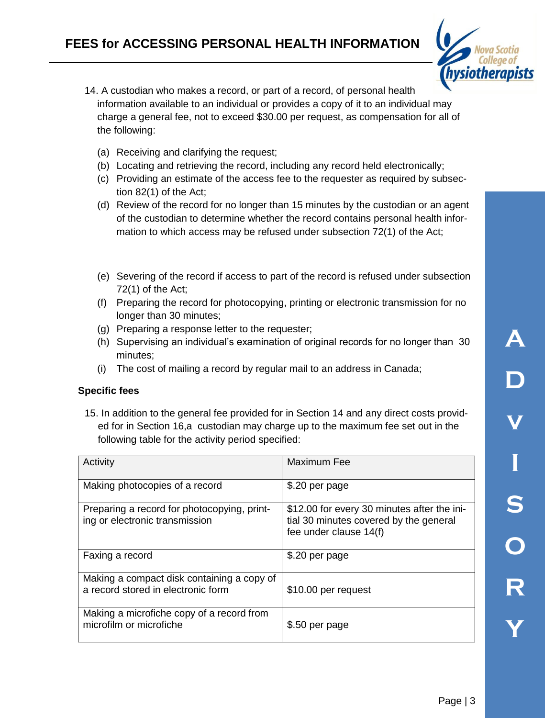

- 14. A custodian who makes a record, or part of a record, of personal health information available to an individual or provides a copy of it to an individual may charge a general fee, not to exceed \$30.00 per request, as compensation for all of the following:
	- (a) Receiving and clarifying the request;
	- (b) Locating and retrieving the record, including any record held electronically;
	- (c) Providing an estimate of the access fee to the requester as required by subsection 82(1) of the Act;
	- (d) Review of the record for no longer than 15 minutes by the custodian or an agent of the custodian to determine whether the record contains personal health information to which access may be refused under subsection 72(1) of the Act;
	- (e) Severing of the record if access to part of the record is refused under subsection 72(1) of the Act;
	- (f) Preparing the record for photocopying, printing or electronic transmission for no longer than 30 minutes;
	- (g) Preparing a response letter to the requester;
	- (h) Supervising an individual's examination of original records for no longer than 30 minutes;
	- (i) The cost of mailing a record by regular mail to an address in Canada;

#### **Specific fees**

15. In addition to the general fee provided for in Section 14 and any direct costs provided for in Section 16,a custodian may charge up to the maximum fee set out in the following table for the activity period specified:

| Activity                                                                         | <b>Maximum Fee</b>                                                                                              |
|----------------------------------------------------------------------------------|-----------------------------------------------------------------------------------------------------------------|
| Making photocopies of a record                                                   | \$.20 per page                                                                                                  |
| Preparing a record for photocopying, print-<br>ing or electronic transmission    | \$12.00 for every 30 minutes after the ini-<br>tial 30 minutes covered by the general<br>fee under clause 14(f) |
| Faxing a record                                                                  | \$.20 per page                                                                                                  |
| Making a compact disk containing a copy of<br>a record stored in electronic form | \$10.00 per request                                                                                             |
| Making a microfiche copy of a record from<br>microfilm or microfiche             | \$.50 per page                                                                                                  |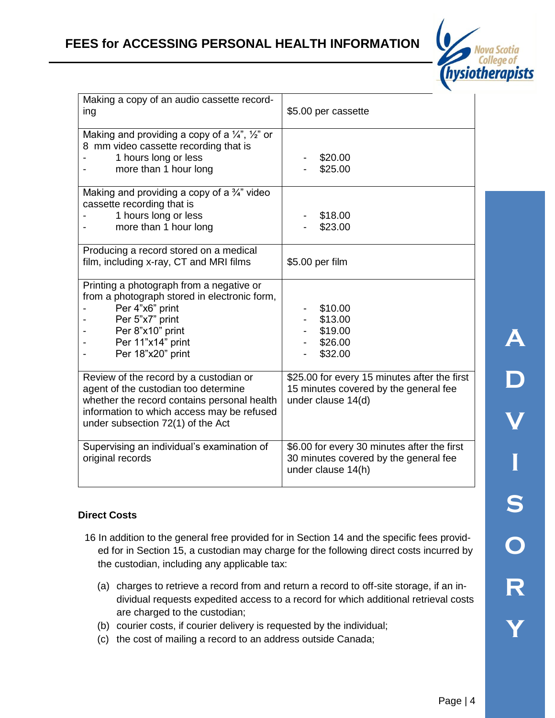

| Making a copy of an audio cassette record-<br>ing                                                                                                                                                                | \$5.00 per cassette                                                                                         |
|------------------------------------------------------------------------------------------------------------------------------------------------------------------------------------------------------------------|-------------------------------------------------------------------------------------------------------------|
| Making and providing a copy of a $\frac{1}{4}$ , $\frac{1}{2}$ or<br>8 mm video cassette recording that is<br>1 hours long or less<br>more than 1 hour long                                                      | \$20.00<br>\$25.00                                                                                          |
| Making and providing a copy of a $\frac{3}{4}$ " video<br>cassette recording that is<br>1 hours long or less<br>more than 1 hour long                                                                            | \$18.00<br>\$23.00                                                                                          |
| Producing a record stored on a medical<br>film, including x-ray, CT and MRI films                                                                                                                                | \$5.00 per film                                                                                             |
| Printing a photograph from a negative or<br>from a photograph stored in electronic form,<br>Per 4"x6" print<br>Per 5"x7" print<br>Per 8"x10" print<br>Per 11"x14" print<br>Per 18"x20" print                     | \$10.00<br>\$13.00<br>\$19.00<br>\$26.00<br>\$32.00                                                         |
| Review of the record by a custodian or<br>agent of the custodian too determine<br>whether the record contains personal health<br>information to which access may be refused<br>under subsection 72(1) of the Act | \$25.00 for every 15 minutes after the first<br>15 minutes covered by the general fee<br>under clause 14(d) |
| Supervising an individual's examination of<br>original records                                                                                                                                                   | \$6.00 for every 30 minutes after the first<br>30 minutes covered by the general fee<br>under clause 14(h)  |

# **Direct Costs**

- 16 In addition to the general free provided for in Section 14 and the specific fees provided for in Section 15, a custodian may charge for the following direct costs incurred by the custodian, including any applicable tax:
	- (a) charges to retrieve a record from and return a record to off-site storage, if an individual requests expedited access to a record for which additional retrieval costs are charged to the custodian;
	- (b) courier costs, if courier delivery is requested by the individual;
	- (c) the cost of mailing a record to an address outside Canada;